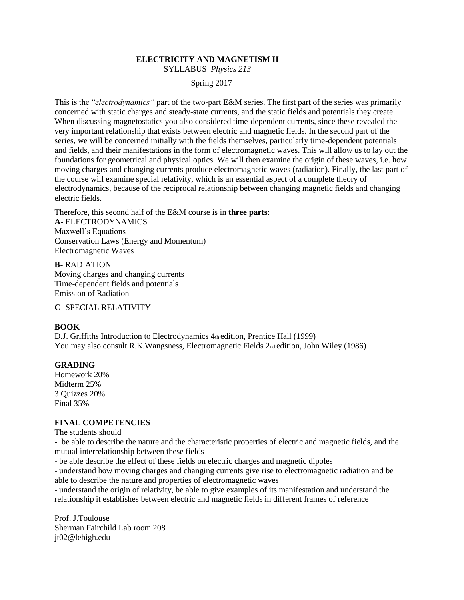# **ELECTRICITY AND MAGNETISM II**

SYLLABUS *Physics 213* 

### Spring 2017

This is the "*electrodynamics"* part of the two-part E&M series. The first part of the series was primarily concerned with static charges and steady-state currents, and the static fields and potentials they create. When discussing magnetostatics you also considered time-dependent currents, since these revealed the very important relationship that exists between electric and magnetic fields. In the second part of the series, we will be concerned initially with the fields themselves, particularly time-dependent potentials and fields, and their manifestations in the form of electromagnetic waves. This will allow us to lay out the foundations for geometrical and physical optics. We will then examine the origin of these waves, i.e. how moving charges and changing currents produce electromagnetic waves (radiation). Finally, the last part of the course will examine special relativity, which is an essential aspect of a complete theory of electrodynamics, because of the reciprocal relationship between changing magnetic fields and changing electric fields.

Therefore, this second half of the E&M course is in **three parts**: **A-** ELECTRODYNAMICS Maxwell's Equations Conservation Laws (Energy and Momentum) Electromagnetic Waves

**B-** RADIATION Moving charges and changing currents Time-dependent fields and potentials Emission of Radiation

**C-** SPECIAL RELATIVITY

#### **BOOK**

D.J. Griffiths Introduction to Electrodynamics 4th edition, Prentice Hall (1999) You may also consult R.K.Wangsness, Electromagnetic Fields 2nd edition, John Wiley (1986)

#### **GRADING**

Homework 20% Midterm 25% 3 Quizzes 20% Final 35%

## **FINAL COMPETENCIES**

The students should

**-** be able to describe the nature and the characteristic properties of electric and magnetic fields, and the mutual interrelationship between these fields

- be able describe the effect of these fields on electric charges and magnetic dipoles

- understand how moving charges and changing currents give rise to electromagnetic radiation and be able to describe the nature and properties of electromagnetic waves

- understand the origin of relativity, be able to give examples of its manifestation and understand the relationship it establishes between electric and magnetic fields in different frames of reference

Prof. J.Toulouse Sherman Fairchild Lab room 208 jt02@lehigh.edu